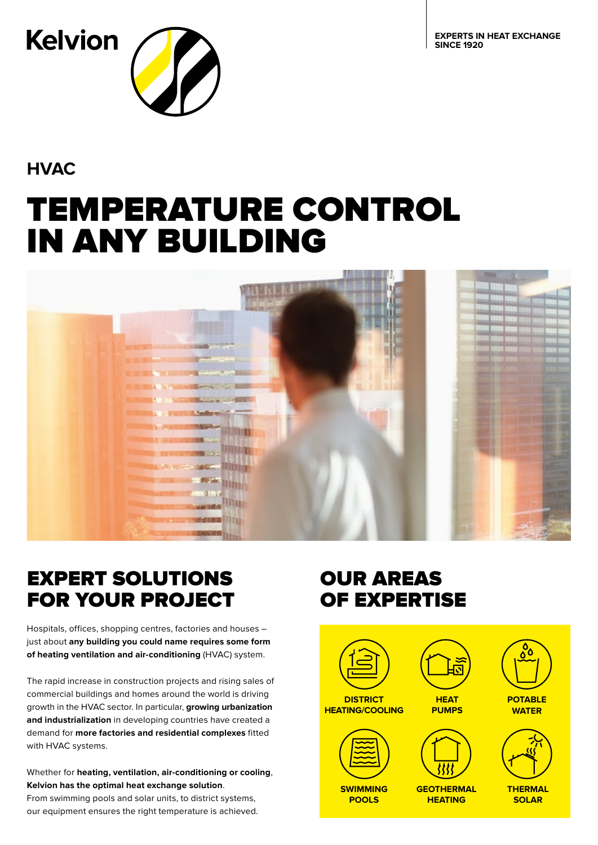**EXPERTS IN HEAT EXCHANGE SINCE 1920**



**HVAC**

# TEMPERATURE CONTROL IN ANY BUILDING



# EXPERT SOLUTIONS FOR YOUR PROJECT

Hospitals, offices, shopping centres, factories and houses – just about **any building you could name requires some form of heating ventilation and air-conditioning** (HVAC) system.

The rapid increase in construction projects and rising sales of commercial buildings and homes around the world is driving growth in the HVAC sector. In particular, **growing urbanization and industrialization** in developing countries have created a demand for **more factories and residential complexes** fitted with HVAC systems.

Whether for **heating, ventilation, air-conditioning or cooling**, **Kelvion has the optimal heat exchange solution**.

From swimming pools and solar units, to district systems, our equipment ensures the right temperature is achieved.

# OUR AREAS OF EXPERTISE